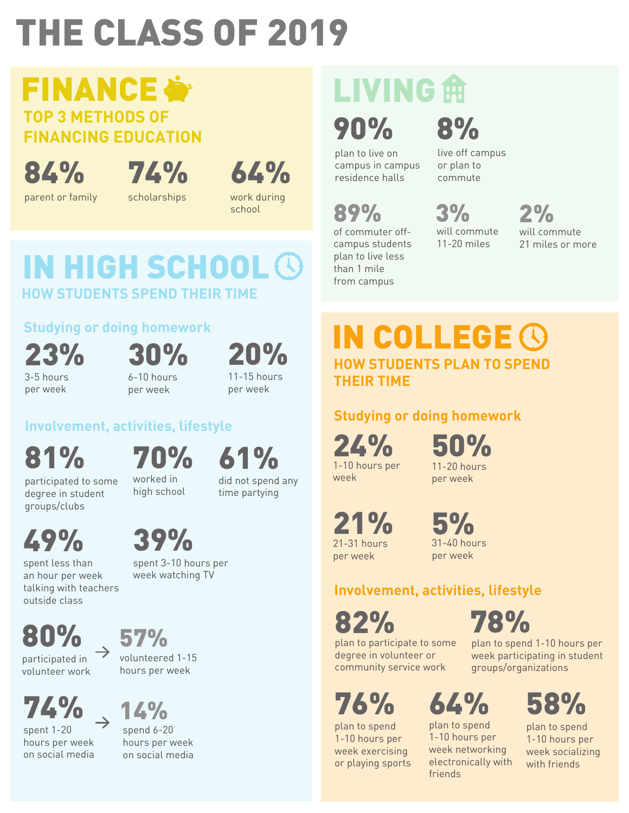# THE CLASS OF 2019

### **TOP 3 METHODS OF FINANCING EDUCATION FINANCE &**

84% parent or family 74%

scholarships



work during school

## **LIVING 曲** 8%

90%

plan to live on campus in campus residence halls

### 89% of commuter off-

campus students plan to live less than 1 mile from campus

**HOW STUDENTS SPEND THEIR TIME** IN HIGH SCHOOL ®

### **Studying or doing homework**

23% 3-5 hours

per week

30% 6-10 hours per week

20% 11-15 hours per week

### **Involvement, activities, lifestyle**

81% participated to some

degree in student groups/clubs

70% worked in high school

39%

61% did not spend any time partying

49%

spent less than an hour per week talking with teachers outside class

spent 3-10 hours per week watching TV

80% participated in

volunteer work

74%

spent 1-20 hours per week on social media



volunteered 1-15 hours per week

 $\rightarrow$  14%

spend 6-20 hours per week on social media

### **HOW STUDENTS PLAN TO SPEND THEIR TIME IN COLLEGE ®**

live off campus or plan to commute

will commute 11-20 miles

3% 2%

will commute 21 miles or more

### **Studying or doing homework**

24% 1-10 hours per

week

50% 11-20 hours per week

21% 21-31 hours per week

5% 31-40 hours per week

### **Involvement, activities, lifestyle**

82%

78%

plan to participate to some degree in volunteer or community service work

## 76%

plan to spend 1-10 hours per week exercising or playing sports plan to spend 1-10 hours per week participating in student groups/organizations

## 64%

plan to spend 1-10 hours per week networking electronically with friends

58% plan to spend 1-10 hours per week socializing with friends